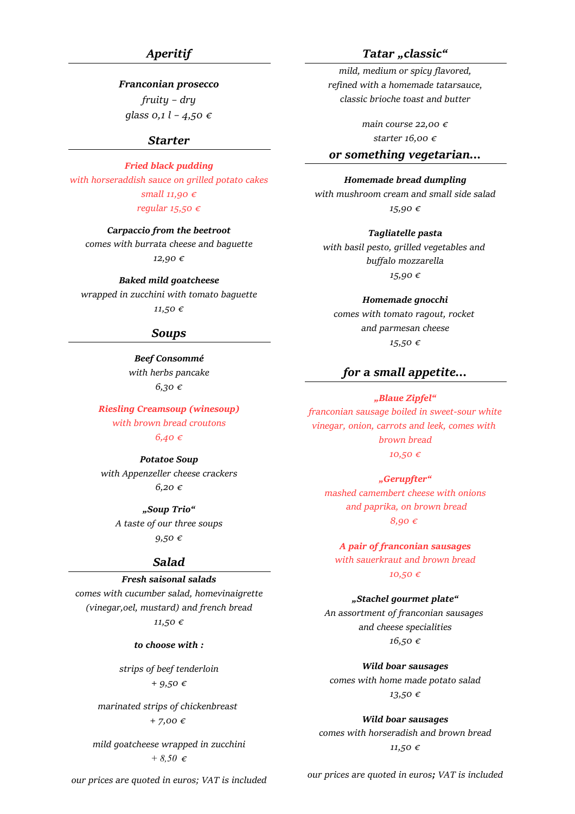## *Aperitif*

## *Franconian prosecco*

*fruity – dry glass 0,1 l – 4,50 €*

## *Starter*

### *Fried black pudding*

*with horseraddish sauce on grilled potato cakes small 11,90 € regular 15,50 €*

*Carpaccio from the beetroot*

*comes with burrata cheese and baguette 12,90 €*

*Baked mild goatcheese wrapped in zucchini with tomato baguette 11,50 €*

## *Soups*

*Beef Consommé with herbs pancake 6,30 €*

*Riesling Creamsoup (winesoup) with brown bread croutons 6,40 €*

*Potatoe Soup with Appenzeller cheese crackers 6,20 €*

> *"Soup Trio" A taste of our three soups 9,50 €*

## *Salad*

## *Fresh saisonal salads*

*comes with cucumber salad, homevinaigrette (vinegar,oel, mustard) and french bread 11,50 €*

*to choose with :*

*strips of beef tenderloin + 9,50 €*

*marinated strips of chickenbreast + 7,00 €* 

*mild goatcheese wrapped in zucchini + 8,50 €*

*Tatar "classic"*

*mild, medium or spicy flavored, refined with a homemade tatarsauce, classic brioche toast and butter*

> *main course 22,00 € starter 16,00 €*

## *or something vegetarian...*

### *Homemade bread dumpling*

*with mushroom cream and small side salad 15,90 €*

*Tagliatelle pasta with basil pesto, grilled vegetables and buffalo mozzarella 15,90 €*

*Homemade gnocchi comes with tomato ragout, rocket and parmesan cheese*

*15,50 €*

## *for a small appetite...*

## *"Blaue Zipfel"*

*franconian sausage boiled in sweet-sour white vinegar, onion, carrots and leek, comes with brown bread 10,50 €*

*"Gerupfter" mashed camembert cheese with onions and paprika, on brown bread 8,90 €* 

*A pair of franconian sausages with sauerkraut and brown bread 10,50 €*

*"Stachel gourmet plate" An assortment of franconian sausages* 

> *and cheese specialities 16,50 €*

*Wild boar sausages comes with home made potato salad 13,50 €*

*Wild boar sausages comes with horseradish and brown bread 11,50 €*

*our prices are quoted in euros; VAT is included*

*our prices are quoted in euros; VAT is included*